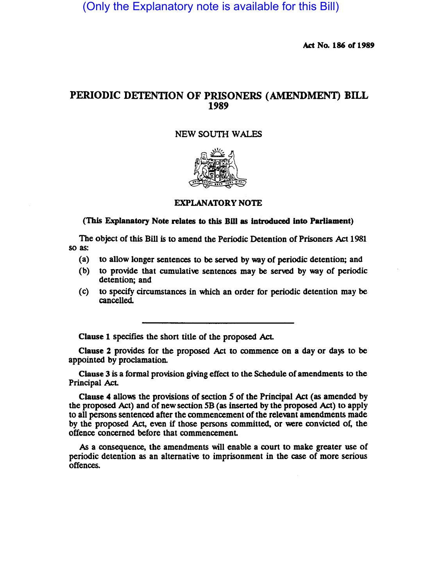(Only the Explanatory note is available for this Bill)

Act No. 186 of 1989

# PERIODIC DEfENTION OF PRISONERS (AMENDMENT) BILL 1989

# NEW SOUTH WALES



## EXPLANATORY NOTE

# (This Explanatory Note relates to this BUI as Introduced into Parliament)

The object of this Bill is to amend the Periodic Detention of Prisoners Act 1981 so as:

- (a) to allow longer sentences to be served by way of periodic detention; and
- (b) to provide that cumulative sentences may be served by Weiy of periodic detention: and
- (c) to specify circumstances in which an order for periodic detention may be cancelled.

Clause 1 specifies the short title of the proposed Act.

Clause 2 provides for the proposed Act to commence on a day or days to be appointed by proclamation.

Clause 3 is a formal provision giving effect to the Schedule of amendments to the Principal Act.

Clause 4 allows the provisions of section *S* of the Principal Act (as amended by the proposed Act) and of new section SB (as inserted by the proposed Act) to apply to all persons sentenced after the commencement of the relevant amendments made by the proposed Act, even if those persons committed, or were convicted of, the offence concerned before that commencement

As a consequence, the amendments will enable a court to make greater use of periodic detention as an alternative to imprisonment in the case of more serious offences.